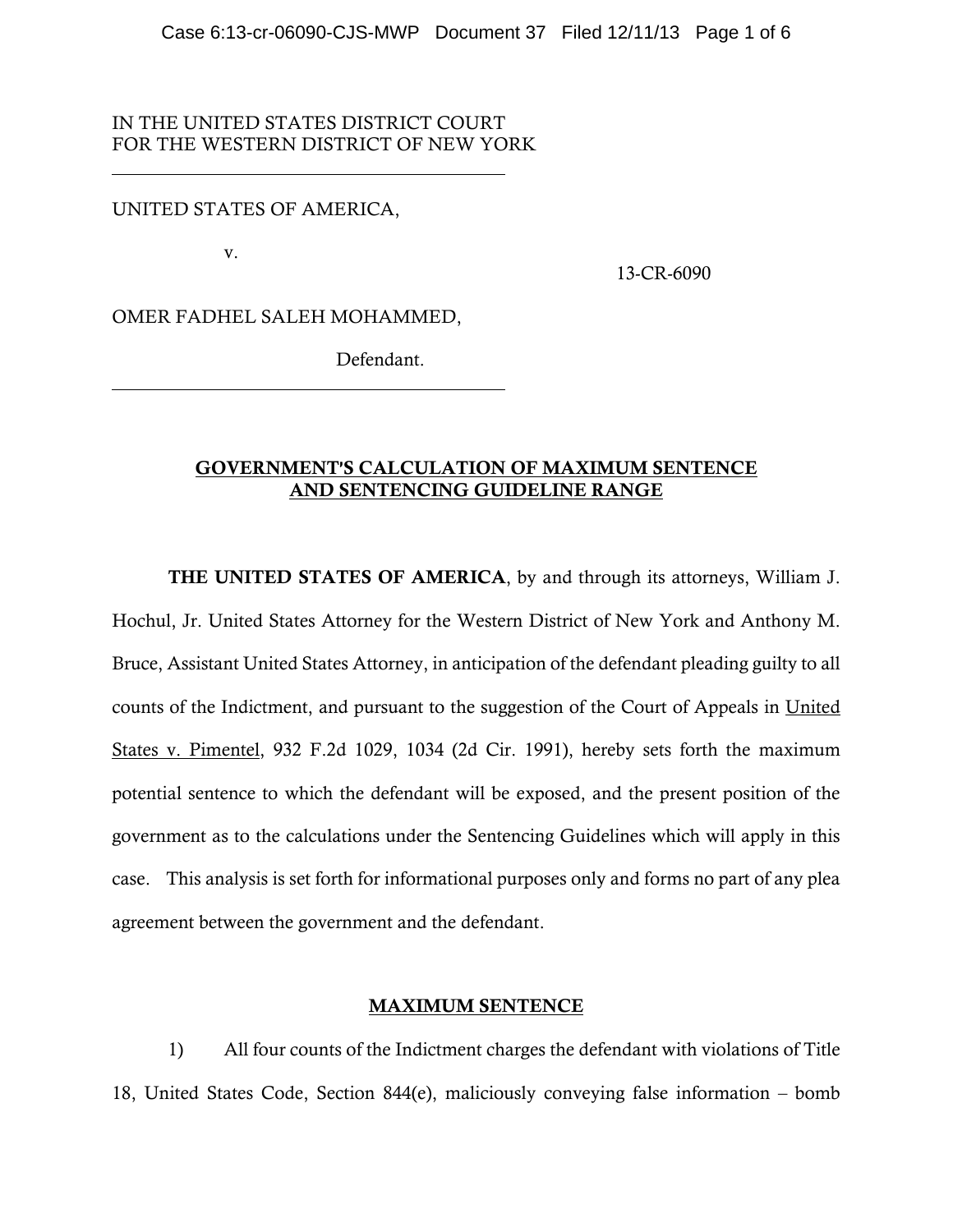## IN THE UNITED STATES DISTRICT COURT FOR THE WESTERN DISTRICT OF NEW YORK

### UNITED STATES OF AMERICA,

v.

 $\overline{a}$ 

 $\overline{a}$ 

13-CR-6090

OMER FADHEL SALEH MOHAMMED,

Defendant.

## GOVERNMENT'S CALCULATION OF MAXIMUM SENTENCE AND SENTENCING GUIDELINE RANGE

THE UNITED STATES OF AMERICA, by and through its attorneys, William J. Hochul, Jr. United States Attorney for the Western District of New York and Anthony M. Bruce, Assistant United States Attorney, in anticipation of the defendant pleading guilty to all counts of the Indictment, and pursuant to the suggestion of the Court of Appeals in United States v. Pimentel, 932 F.2d 1029, 1034 (2d Cir. 1991), hereby sets forth the maximum potential sentence to which the defendant will be exposed, and the present position of the government as to the calculations under the Sentencing Guidelines which will apply in this case. This analysis is set forth for informational purposes only and forms no part of any plea agreement between the government and the defendant.

### MAXIMUM SENTENCE

1) All four counts of the Indictment charges the defendant with violations of Title 18, United States Code, Section 844(e), maliciously conveying false information – bomb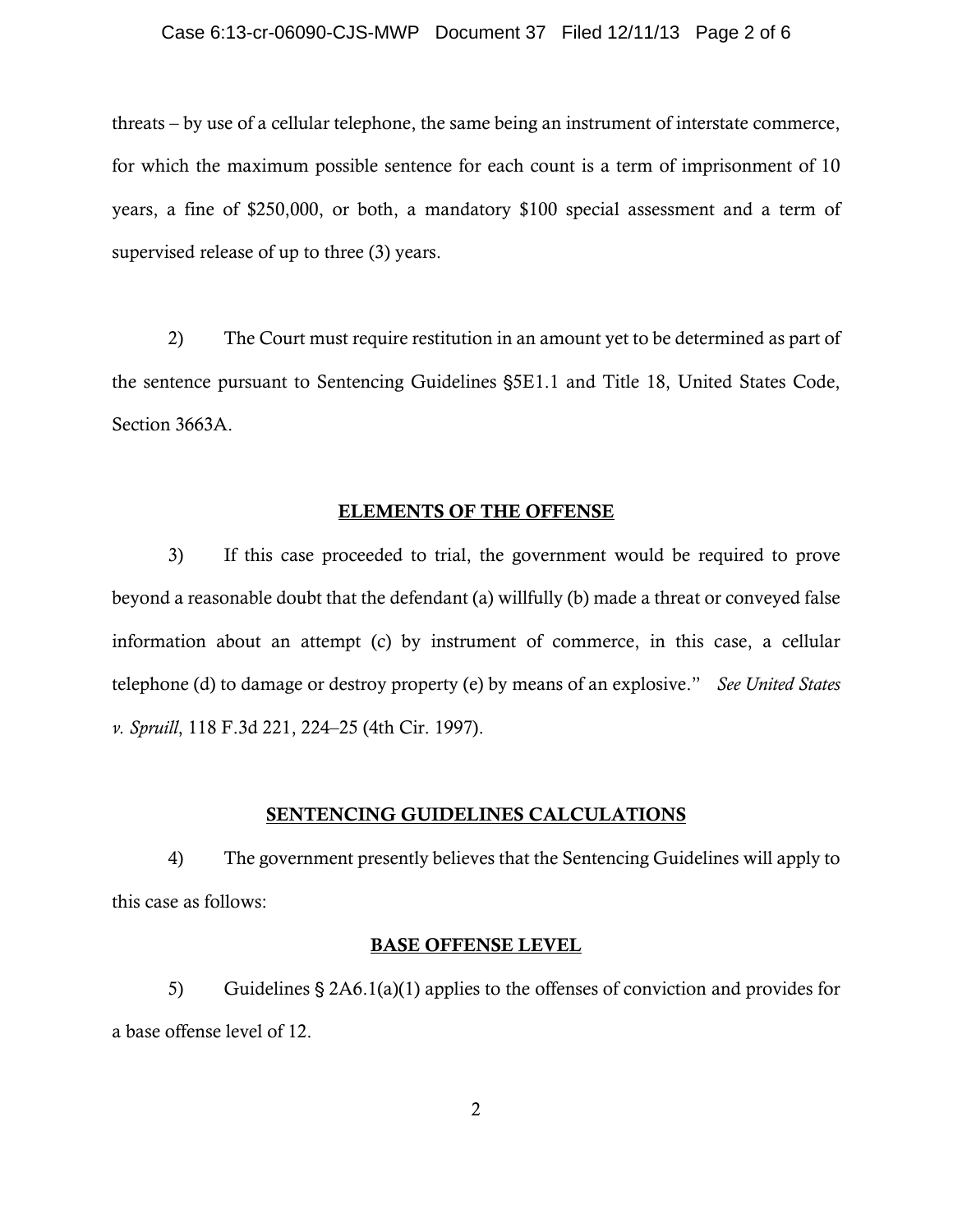#### Case 6:13-cr-06090-CJS-MWP Document 37 Filed 12/11/13 Page 2 of 6

threats – by use of a cellular telephone, the same being an instrument of interstate commerce, for which the maximum possible sentence for each count is a term of imprisonment of 10 years, a fine of \$250,000, or both, a mandatory \$100 special assessment and a term of supervised release of up to three (3) years.

2) The Court must require restitution in an amount yet to be determined as part of the sentence pursuant to Sentencing Guidelines '5E1.1 and Title 18, United States Code, Section 3663A.

#### ELEMENTS OF THE OFFENSE

3) If this case proceeded to trial, the government would be required to prove beyond a reasonable doubt that the defendant (a) willfully (b) made a threat or conveyed false information about an attempt (c) by instrument of commerce, in this case, a cellular telephone (d) to damage or destroy property (e) by means of an explosive." *See United States v. Spruill*, 118 F.3d 221, 224–25 (4th Cir. 1997).

### SENTENCING GUIDELINES CALCULATIONS

4) The government presently believes that the Sentencing Guidelines will apply to this case as follows:

### BASE OFFENSE LEVEL

5) Guidelines  $\S 2A6.1(a)(1)$  applies to the offenses of conviction and provides for a base offense level of 12.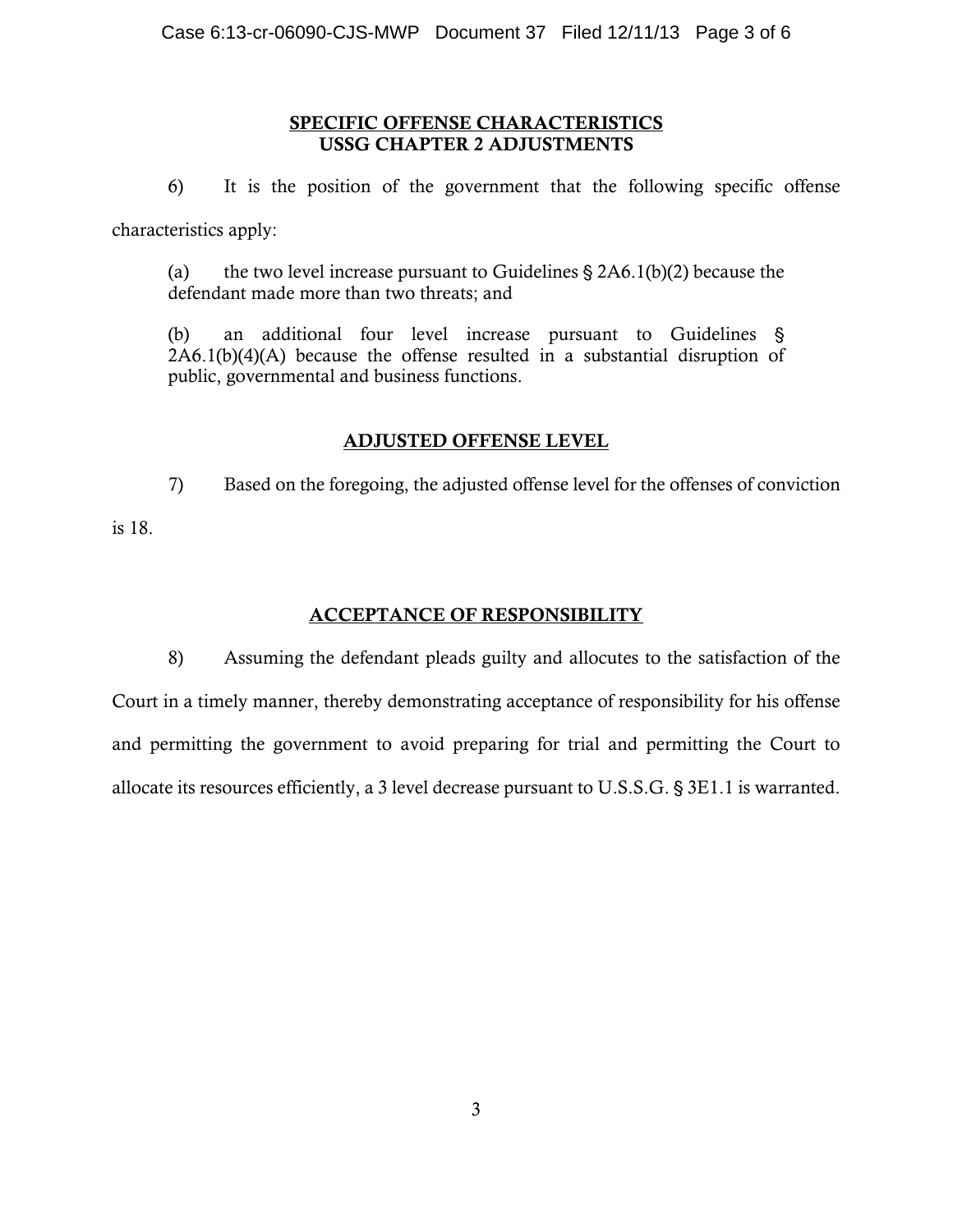## SPECIFIC OFFENSE CHARACTERISTICS USSG CHAPTER 2 ADJUSTMENTS

6) It is the position of the government that the following specific offense characteristics apply:

(a) the two level increase pursuant to Guidelines  $\S 2A6.1(b)(2)$  because the defendant made more than two threats; and

(b) an additional four level increase pursuant to Guidelines ' 2A6.1(b)(4)(A) because the offense resulted in a substantial disruption of public, governmental and business functions.

## ADJUSTED OFFENSE LEVEL

7) Based on the foregoing, the adjusted offense level for the offenses of conviction

is 18.

# ACCEPTANCE OF RESPONSIBILITY

8) Assuming the defendant pleads guilty and allocutes to the satisfaction of the Court in a timely manner, thereby demonstrating acceptance of responsibility for his offense and permitting the government to avoid preparing for trial and permitting the Court to allocate its resources efficiently, a 3 level decrease pursuant to U.S.S.G. § 3E1.1 is warranted.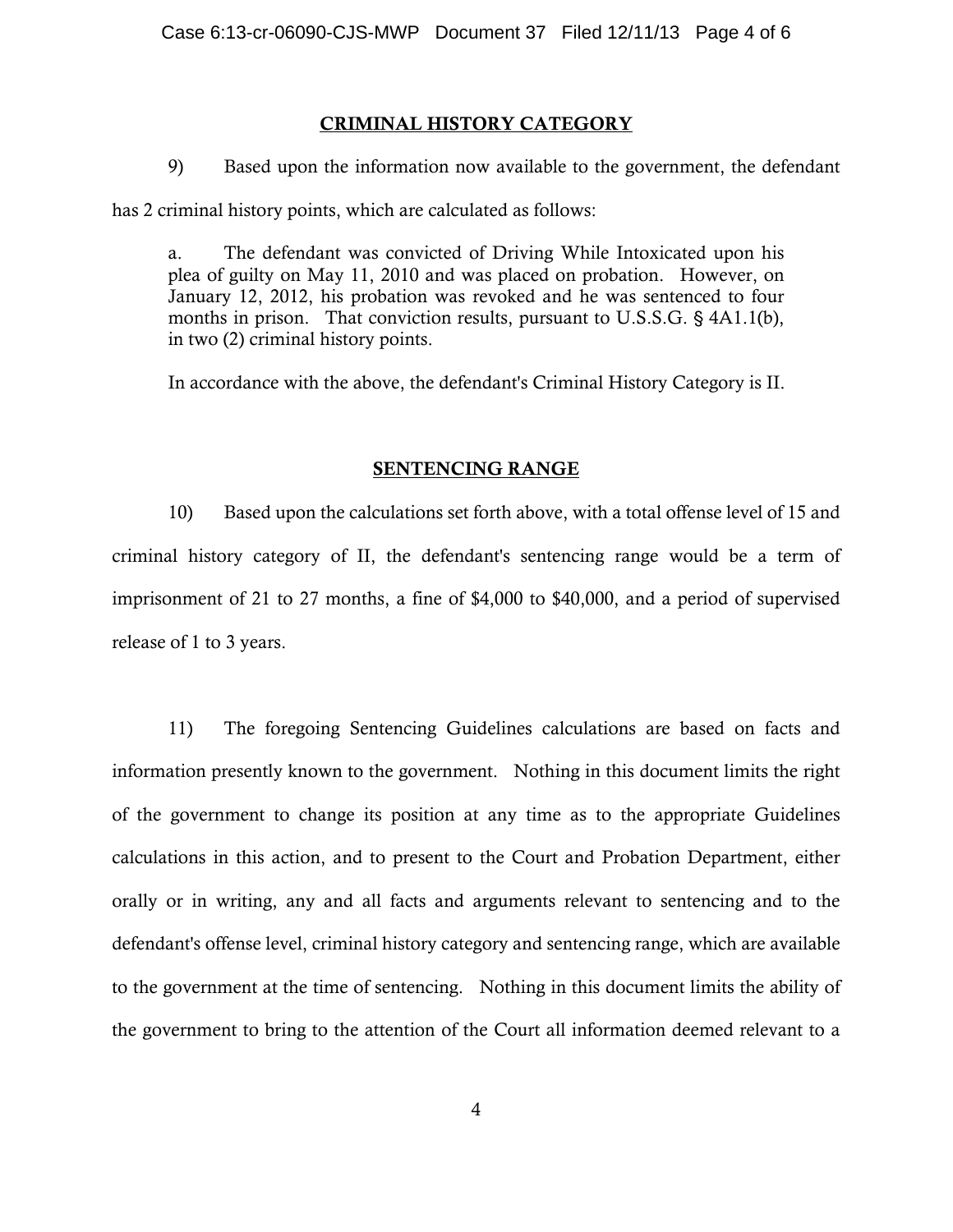## CRIMINAL HISTORY CATEGORY

9) Based upon the information now available to the government, the defendant

has 2 criminal history points, which are calculated as follows:

a. The defendant was convicted of Driving While Intoxicated upon his plea of guilty on May 11, 2010 and was placed on probation. However, on January 12, 2012, his probation was revoked and he was sentenced to four months in prison. That conviction results, pursuant to U.S.S.G.  $\S$  4A1.1(b), in two (2) criminal history points.

In accordance with the above, the defendant's Criminal History Category is II.

## SENTENCING RANGE

10) Based upon the calculations set forth above, with a total offense level of 15 and criminal history category of II, the defendant's sentencing range would be a term of imprisonment of 21 to 27 months, a fine of \$4,000 to \$40,000, and a period of supervised release of 1 to 3 years.

11) The foregoing Sentencing Guidelines calculations are based on facts and information presently known to the government. Nothing in this document limits the right of the government to change its position at any time as to the appropriate Guidelines calculations in this action, and to present to the Court and Probation Department, either orally or in writing, any and all facts and arguments relevant to sentencing and to the defendant's offense level, criminal history category and sentencing range, which are available to the government at the time of sentencing. Nothing in this document limits the ability of the government to bring to the attention of the Court all information deemed relevant to a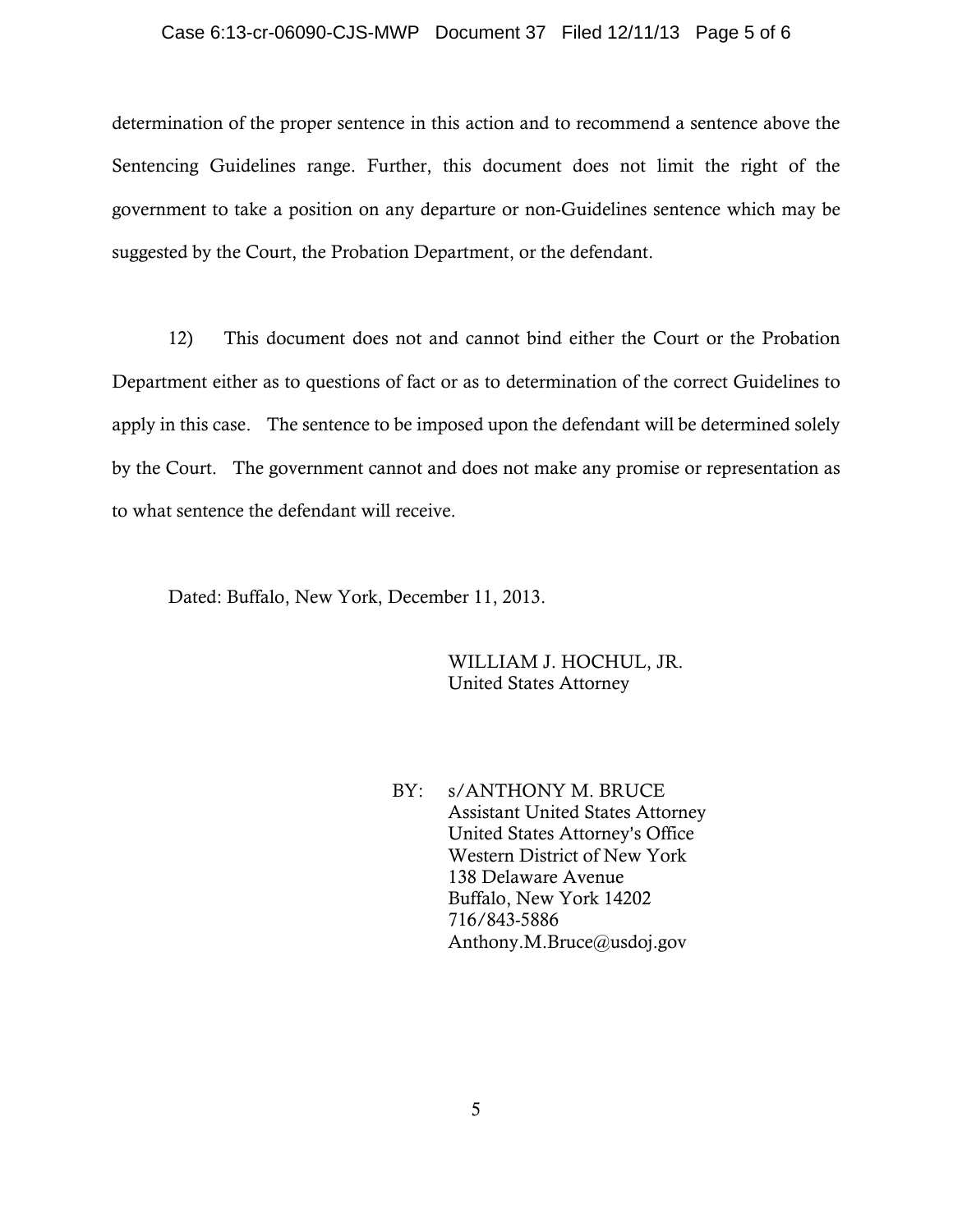#### Case 6:13-cr-06090-CJS-MWP Document 37 Filed 12/11/13 Page 5 of 6

determination of the proper sentence in this action and to recommend a sentence above the Sentencing Guidelines range. Further, this document does not limit the right of the government to take a position on any departure or non-Guidelines sentence which may be suggested by the Court, the Probation Department, or the defendant.

12) This document does not and cannot bind either the Court or the Probation Department either as to questions of fact or as to determination of the correct Guidelines to apply in this case. The sentence to be imposed upon the defendant will be determined solely by the Court. The government cannot and does not make any promise or representation as to what sentence the defendant will receive.

Dated: Buffalo, New York, December 11, 2013.

WILLIAM J. HOCHUL, JR. United States Attorney

BY: s/ANTHONY M. BRUCE Assistant United States Attorney United States Attorney's Office Western District of New York 138 Delaware Avenue Buffalo, New York 14202 716/843-5886 Anthony.M.Bruce@usdoj.gov